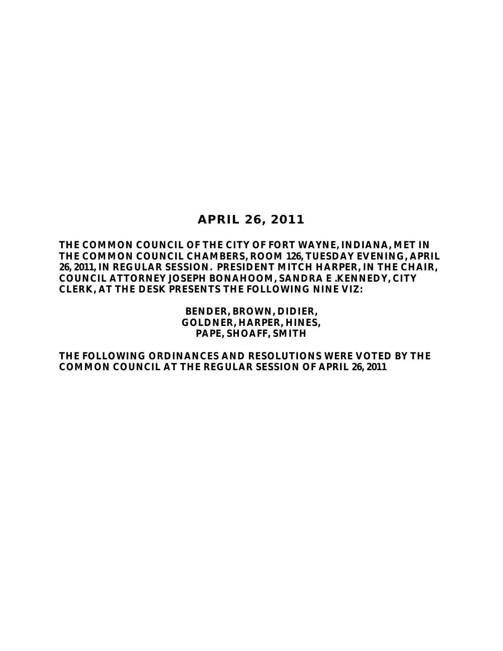# **APRIL 26, 2011**

**THE COMMON COUNCIL OF THE CITY OF FORT WAYNE, INDIANA, MET IN THE COMMON COUNCIL CHAMBERS, ROOM 126, TUESDAY EVENING, APRIL 26, 2011, IN REGULAR SESSION. PRESIDENT MITCH HARPER, IN THE CHAIR, COUNCIL ATTORNEY JOSEPH BONAHOOM, SANDRA E .KENNEDY, CITY CLERK, AT THE DESK PRESENTS THE FOLLOWING NINE VIZ:** 

> **BENDER, BROWN, DIDIER, GOLDNER, HARPER, HINES, PAPE, SHOAFF, SMITH**

**THE FOLLOWING ORDINANCES AND RESOLUTIONS WERE VOTED BY THE COMMON COUNCIL AT THE REGULAR SESSION OF APRIL 26, 2011**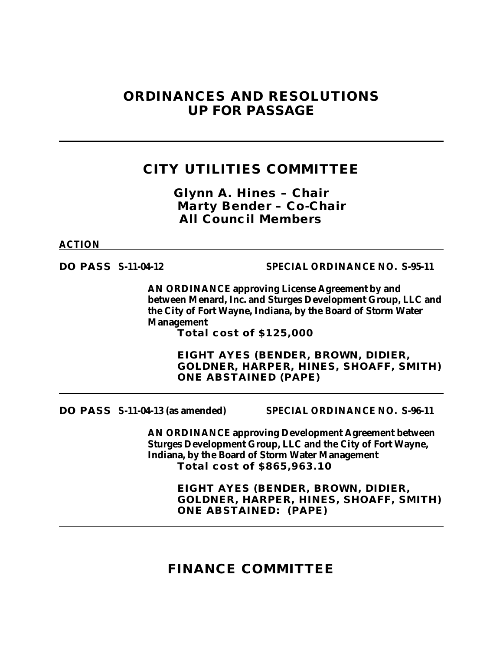# **ORDINANCES AND RESOLUTIONS UP FOR PASSAGE**

# **CITY UTILITIES COMMITTEE**

*Glynn A. Hines – Chair Marty Bender – Co-Chair All Council Members*

**ACTION**

**DO PASS S-11-04-12 SPECIAL ORDINANCE NO. S-95-11**

**AN ORDINANCE approving License Agreement by and between Menard, Inc. and Sturges Development Group, LLC and the City of Fort Wayne, Indiana, by the Board of Storm Water Management**

**Total cost of \$125,000**

**EIGHT AYES (BENDER, BROWN, DIDIER, GOLDNER, HARPER, HINES, SHOAFF, SMITH) ONE ABSTAINED (PAPE)**

**DO PASS S-11-04-13 (as amended) SPECIAL ORDINANCE NO. S-96-11**

**AN ORDINANCE approving Development Agreement between Sturges Development Group, LLC and the City of Fort Wayne, Indiana, by the Board of Storm Water Management Total cost of \$865,963.10**

> **EIGHT AYES (BENDER, BROWN, DIDIER, GOLDNER, HARPER, HINES, SHOAFF, SMITH) ONE ABSTAINED: (PAPE)**

**FINANCE COMMITTEE**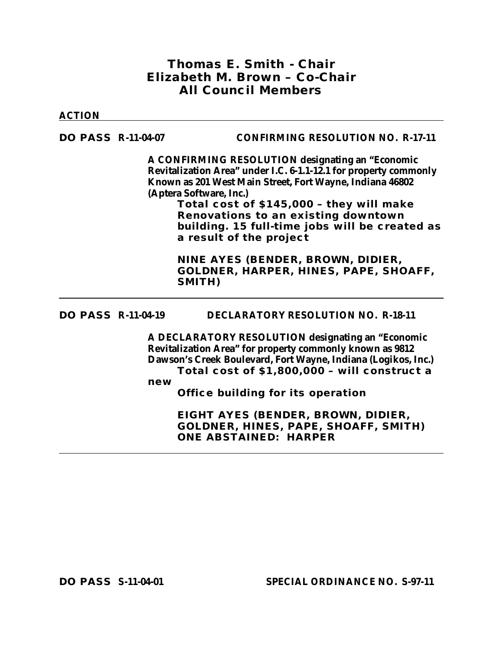## *Thomas E. Smith - Chair Elizabeth M. Brown – Co-Chair All Council Members*

#### **ACTION**

### **DO PASS R-11-04-07 CONFIRMING RESOLUTION NO. R-17-11**

**A CONFIRMING RESOLUTION designating an "Economic Revitalization Area" under I.C. 6-1.1-12.1 for property commonly Known as 201 West Main Street, Fort Wayne, Indiana 46802 (Aptera Software, Inc.)**

> **Total cost of \$145,000 – they will make Renovations to an existing downtown building. 15 full-time jobs will be created as a result of the project**

**NINE AYES (BENDER, BROWN, DIDIER, GOLDNER, HARPER, HINES, PAPE, SHOAFF, SMITH)**

**DO PASS R-11-04-19 DECLARATORY RESOLUTION NO. R-18-11**

**A DECLARATORY RESOLUTION designating an "Economic Revitalization Area" for property commonly known as 9812 Dawson's Creek Boulevard, Fort Wayne, Indiana (Logikos, Inc.) Total cost of \$1,800,000 – will construct a** 

**new** 

**Office building for its operation** 

**EIGHT AYES (BENDER, BROWN, DIDIER, GOLDNER, HINES, PAPE, SHOAFF, SMITH) ONE ABSTAINED: HARPER**

**DO PASS S-11-04-01 SPECIAL ORDINANCE NO. S-97-11**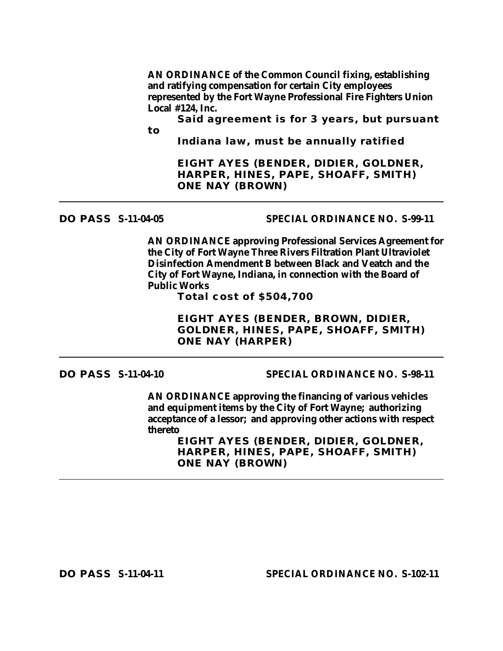**AN ORDINANCE of the Common Council fixing, establishing and ratifying compensation for certain City employees represented by the Fort Wayne Professional Fire Fighters Union Local #124, Inc.**

**Said agreement is for 3 years, but pursuant to** 

**Indiana law, must be annually ratified**

**EIGHT AYES (BENDER, DIDIER, GOLDNER, HARPER, HINES, PAPE, SHOAFF, SMITH) ONE NAY (BROWN)**

### **DO PASS S-11-04-05 SPECIAL ORDINANCE NO. S-99-11**

**AN ORDINANCE approving Professional Services Agreement for the City of Fort Wayne Three Rivers Filtration Plant Ultraviolet Disinfection Amendment B between Black and Veatch and the City of Fort Wayne, Indiana, in connection with the Board of Public Works**

**Total cost of \$504,700**

**EIGHT AYES (BENDER, BROWN, DIDIER, GOLDNER, HINES, PAPE, SHOAFF, SMITH) ONE NAY (HARPER)**

**DO PASS S-11-04-10 SPECIAL ORDINANCE NO. S-98-11**

**AN ORDINANCE approving the financing of various vehicles and equipment items by the City of Fort Wayne; authorizing acceptance of a lessor; and approving other actions with respect thereto**

**EIGHT AYES (BENDER, DIDIER, GOLDNER, HARPER, HINES, PAPE, SHOAFF, SMITH) ONE NAY (BROWN)**

**DO PASS S-11-04-11 SPECIAL ORDINANCE NO. S-102-11**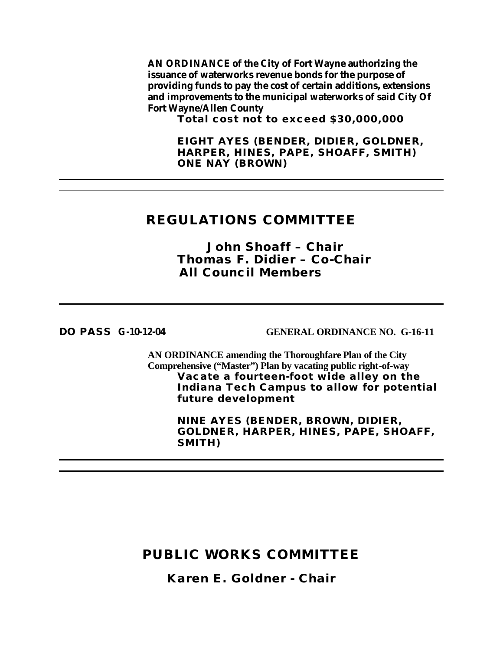**AN ORDINANCE of the City of Fort Wayne authorizing the issuance of waterworks revenue bonds for the purpose of providing funds to pay the cost of certain additions, extensions and improvements to the municipal waterworks of said City Of Fort Wayne/Allen County**

**Total cost not to exceed \$30,000,000**

**EIGHT AYES (BENDER, DIDIER, GOLDNER, HARPER, HINES, PAPE, SHOAFF, SMITH) ONE NAY (BROWN)**

## **REGULATIONS COMMITTEE**

*John Shoaff – Chair Thomas F. Didier – Co-Chair All Council Members*

**DO PASS G-10-12-04 GENERAL ORDINANCE NO. G-16-11**

**AN ORDINANCE amending the Thoroughfare Plan of the City Comprehensive ("Master") Plan by vacating public right-of-way Vacate a fourteen-foot wide alley on the Indiana Tech Campus to allow for potential future development**

> **NINE AYES (BENDER, BROWN, DIDIER, GOLDNER, HARPER, HINES, PAPE, SHOAFF, SMITH)**

# **PUBLIC WORKS COMMITTEE**

*Karen E. Goldner - Chair*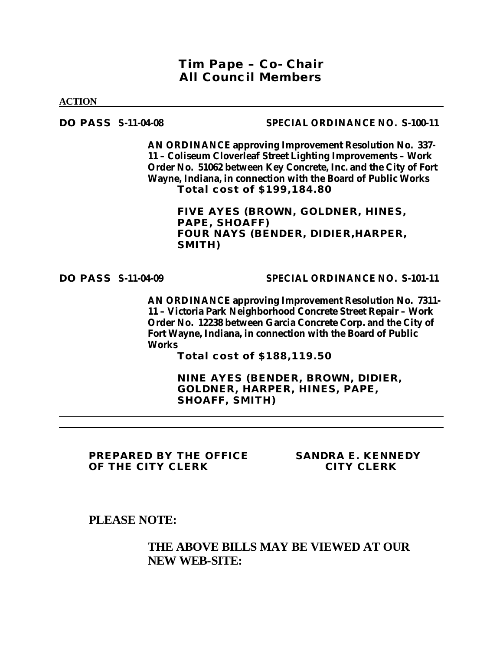## *Tim Pape – Co- Chair All Council Members*

**ACTION**

#### **DO PASS S-11-04-08 SPECIAL ORDINANCE NO. S-100-11**

**AN ORDINANCE approving Improvement Resolution No. 337- 11 – Coliseum Cloverleaf Street Lighting Improvements – Work Order No. 51062 between Key Concrete, Inc. and the City of Fort Wayne, Indiana, in connection with the Board of Public Works Total cost of \$199,184.80**

> **FIVE AYES (BROWN, GOLDNER, HINES, PAPE, SHOAFF) FOUR NAYS (BENDER, DIDIER,HARPER, SMITH)**

#### **DO PASS S-11-04-09 SPECIAL ORDINANCE NO. S-101-11**

**AN ORDINANCE approving Improvement Resolution No. 7311- 11 – Victoria Park Neighborhood Concrete Street Repair – Work Order No. 12238 between Garcia Concrete Corp. and the City of Fort Wayne, Indiana, in connection with the Board of Public Works**

**Total cost of \$188,119.50**

**NINE AYES (BENDER, BROWN, DIDIER, GOLDNER, HARPER, HINES, PAPE, SHOAFF, SMITH)**

**PREPARED BY THE OFFICE SANDRA E. KENNEDY OF THE CITY CLERK CITY CLERK**

**PLEASE NOTE:**

## **THE ABOVE BILLS MAY BE VIEWED AT OUR NEW WEB-SITE:**